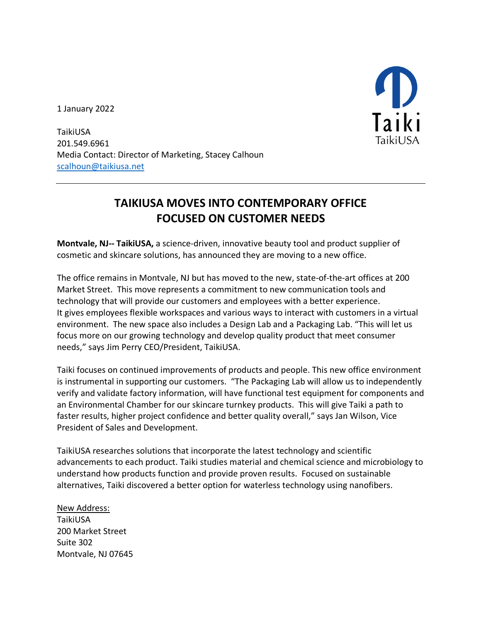1 January 2022



TaikiUSA 201.549.6961 Media Contact: Director of Marketing, Stacey Calhoun scalhoun@taikiusa.net

## **TAIKIUSA MOVES INTO CONTEMPORARY OFFICE FOCUSED ON CUSTOMER NEEDS**

**Montvale, NJ-- TaikiUSA,** a science-driven, innovative beauty tool and product supplier of cosmetic and skincare solutions, has announced they are moving to a new office.

The office remains in Montvale, NJ but has moved to the new, state-of-the-art offices at 200 Market Street. This move represents a commitment to new communication tools and technology that will provide our customers and employees with a better experience. It gives employees flexible workspaces and various ways to interact with customers in a virtual environment. The new space also includes a Design Lab and a Packaging Lab. "This will let us focus more on our growing technology and develop quality product that meet consumer needs," says Jim Perry CEO/President, TaikiUSA.

Taiki focuses on continued improvements of products and people. This new office environment is instrumental in supporting our customers. "The Packaging Lab will allow us to independently verify and validate factory information, will have functional test equipment for components and an Environmental Chamber for our skincare turnkey products. This will give Taiki a path to faster results, higher project confidence and better quality overall," says Jan Wilson, Vice President of Sales and Development.

TaikiUSA researches solutions that incorporate the latest technology and scientific advancements to each product. Taiki studies material and chemical science and microbiology to understand how products function and provide proven results. Focused on sustainable alternatives, Taiki discovered a better option for waterless technology using nanofibers.

New Address: TaikiUSA 200 Market Street Suite 302 Montvale, NJ 07645